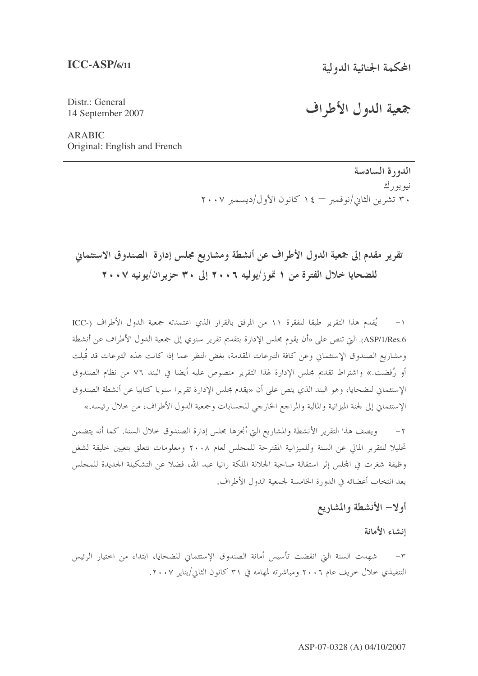Distr.: General 14 September 2007

# جمعية الدول الأطراف

**ARABIC** Original: English and French

> الدورة السادسة نيو يو رك ٣٠ تشرين الثاني/نوفمبر = ١٤ كانون الأول/ديسمبر ٢٠٠٧

# تقرير مقدم إلى جمعية الدول الأطراف عن أنشطة ومشاريع مجلس إدارة الصندوق الاستئماني للضحايا خلال الفترة من ١ تموز/يوليه ٢٠٠٦ إلى ٣٠ حزير ان/يونيه ٢٠٠٧

١– يُقدم هذا التقرير طبقا للفقرة ١١ من المرفق بالقرار الذي اعتمدته جمعية الدول الأطراف (-ICC ASP/1/Res.6). التي تنص على «أن يقوم مجلس الإدارة بتقديم تقرير سنوي إلى جمعية الدول الأطراف عن أنشطة ومشاريع الصندوق الإستئماني وعن كافة التبرعات المقدمة، بغض النظر عما إذا كانت هذه التبرعات قد قُبلت أو رُفضت.» واشتراط تقديم مجلس الإدارة لهذا التقرير منصوص عليه أيضا في البند ٧٦ من نظام الصندوق الإستئماني للضحايا، وهو البند الذي ينص على أن «يقدم مجلس الإدارة تقريرا سنويا كتابيا عن أنشطة الصندوق الإستئماني إلى لجنة الميزانية والمالية والمراجع الخارجي للحسابات وجمعية الدول الأطراف، من حلال رئيسه.»

٢ – ويصف هذا التقرير الأنشطة والمشاريع التي أنجزها مجلس إدارة الصندوق حلال السنة. كما أنه يتضمن تحليلا للتقرير المالي عن السنة وللميزانية المقترحة للمجلس لعام ٢٠٠٨ ومعلومات تتعلق بتعيين حليفة لشغل وظيفة شغرت في المحلس إثر استقالة صاحبة الجلالة الملكة رانيا عبد الله، فضلا عن التشكيلة الجديدة للمحلس بعد انتخاب أعضائه في الدورة الخامسة لجمعية الدول الأطراف.

## أولا– الأنشطة والمشاريع

إنشاء الأمانة

شهدت السنة التي انقضت تأسيس أمانة الصندوق الإستئماني للضحايا، ابتداء من اختيار الرئيس التنفيذي حلال حريف عام ٢٠٠٦ ومباشرته لمهامه في ٣١ كانون الثاني/يناير ٢٠٠٧.

#### ASP-07-0328 (A) 04/10/2007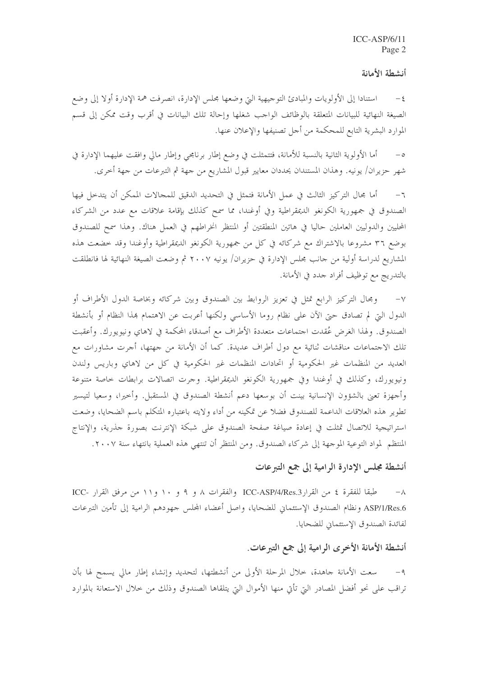#### أنشطة الأمانة

استنادا إلى الأولويات والمبادئ التوجيهية التي وضعها مجلس الإدارة، انصرفت همة الإدارة أولا إلى وضع  $-\,\xi$ الصيغة النهائية للبيانات المتعلقة بالوظائف الواحب شغلها وإحالة تلك البيانات في أقرب وقت ممكن إلى قسم الموارد البشرية التابع للمحكمة من أحل تصنيفها والإعلان عنها.

أما الأولوية الثانية بالنسبة للأمانة، فتتمثلت في وضع إطار برنامجي وإطار مالي وافقت عليهما الإدارة في  $-\circ$ شهر حزيران/ يونيه. وهذان المستندان يحددان معايير قبول المشاريع من جهة ثم التبرعات من جهة أخرى.

أما مجال التركيز الثالث في عمل الأمانة فتمثل في التحديد الدقيق للمجالات الممكن أن يتدخل فيها  $-7$ الصندوق في جمهورية الكونغو الديمقراطية وفي أوغندا، مما سمح كذلك بإقامة علاقات مع عدد من الشركاء المحليين والدوليين العاملين حاليا في هاتين المنطقتين أو المنتظر انخراطهم في العمل هناك. وهذا سمح للصندوق بوضع ٣٦ مشروعًا بالاشتراك مع شركائه في كلِّ من جمهورية الكونغو الديمقراطية وأوغندا وقد حضعت هذه المشاريع لدراسة أولية من حانب مجلس الإدارة في حزيران/ يونيه ٢٠٠٧ ثم وضعت الصيغة النهائية لها فانطلقت بالتدريج مع توظيف أفراد حدد في الأمانة.

ومجال التركيز الرابع تمثل في تعزيز الروابط بين الصندوق وبين شركائه وبخاصة الدول الأطراف أو  $-\vee$ الدول التي لم تصادق حتى الآن على نظام روما الأساسي ولكنها أعربت عن الاهتمام بهذا النظام أو بأنشطة الصندوق. ولهذا الغرض عُقدت احتماعات متعددة الأطراف مع أصدقاء المحكمة في لاهاي ونيويورك. وأعقبت تلك الاجتماعات مناقشات ثنائية مع دول أطراف عديدة. كما أن الأمانة من جهتها، أجرت مشاورات مع العديد من المنظمات غير الحكومية أو اتحادات المنظمات غير الحكومية في كل من لاهاي وباريس ولندن ونيويورك، وكذلك في أوغندا وفي جمهورية الكونغو الديمقراطية. وحرت اتصالات برابطات خاصة متنوعة وأجهزة تعني بالشؤون الإنسانية بينت أن بوسعها دعم أنشطة الصندوق في المستقبل. وأخيرا، وسعيا لتيسير تطوير هذه العلاقات الداعمة للصندوق فضلا عن تمكينه من أداء ولايته باعتباره المتكلم باسم الضحايا، وضعت استراتيجية للاتصال تمثلت في إعادة صياغة صفحة الصندوق على شبكة الإنترنت بصورة حذرية، والإنتاج المنتظم لمواد التوعية الموجهة إلى شركاء الصندوق. ومن المنتظر أن تنتهي هذه العملية بانتهاء سنة ٢٠٠٧.

### أنشطة مجلس الإدارة الرامية إلى جمع التبرعات

طبقا للفقرة ٤ من القرارA ICC-ASP/4/Res.3 والفقرات ٨ و ٩ و ١٠ و ١١ من مرفق القرار -ICC  $-\lambda$ ASP/1/Res.6 ونظام الصندوق الإستئماني للضحايا، وإصل أعضاء المحلس جهودهم الرامية إلى تأمين التبرعات لفائدة الصندوق الإستئماني للضحايا.

### أنشطة الأمانة الأخرى الرامية إلى جمع التبرعات.

سعت الأمانة جاهدة، خلال المرحلة الأولى من أنشطتها، لتحديد وإنشاء إطار مالي يسمح لها بأن  $-9$ تراقب على نحو أفضل المصادر التي تأتي منها الأموال التي يتلقاها الصندوق وذلك من حلال الاستعانة بالموارد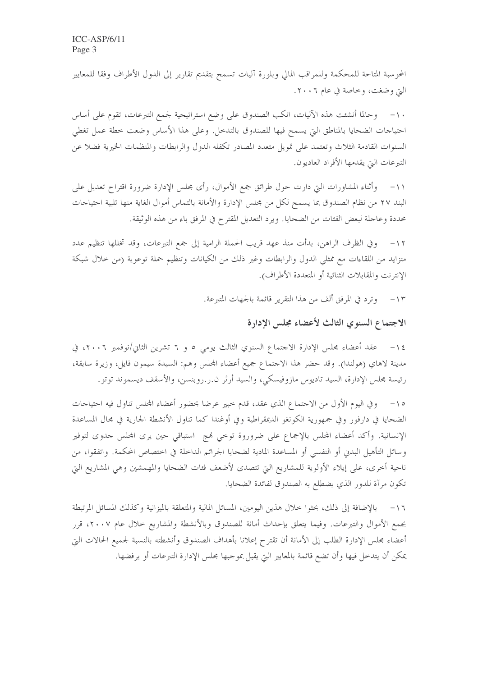المحوسبة المتاحة للمحكمة وللمراقب المالي وبلورة آليات تسمح بتقديم تقارير إلى الدول الأطراف وفقا للمعايير التي وضغت، وخاصة في عام ٢٠٠٦.

١٠- وحالما أنشئت هذه الآليات، انكب الصندوق على وضع استراتيجية لجمع التبرعات، تقوم على أساس احتياجات الضحايا بالمناطق التي يسمح فيها للصندوق بالتدحل. وعلى هذا الأساس وضعت خطة عمل تغطي السنوات القادمة الثلاث وتعتمد على تمويل متعدد المصادر تكفله الدول والرابطات والمنظمات الخيرية فضلا عن التبرعات التي يقدمها الأفراد العاديون.

وأثناء المشاورات التي دارت حول طرائق جمع الأموال، رأى مجلس الإدارة ضرورة اقتراح تعديل على  $-11$ البند ٢٧ من نظام الصندوق بما يسمح لكل من مجلس الإدارة والأمانة بالتماس أموال الغاية منها تلبية احتياحات محددة وعاجلة لبعض الفئات من الضحايا. ويرد التعديل المقترح في المرفق باء من هذه الوثيقة.

وفي الظرف الراهن، بدأت منذ عهد قريب الحملة الرامية إلى جمع التبرعات، وقد تخللها تنظيم عدد  $-15$ متزايد من اللقاءات مع ممثلي الدول والرابطات وغير ذلك من الكيانات وتنظيم حملة توعوية (من حلال شبكة الإنترنت والمقابلات الثنائية أو المتعددة الأطراف).

> وترد في المرفق ألف من هذا التقرير قائمة بالجهات المتبرعة.  $-15$

## الاجتماع السنوي الثالث لأعضاء مجلس الإدارة

عقد أعضاء مجلس الإدارة الاحتماع السنوي الثالث يومي ٥ و ٦ تشرين الثاني/نوفمبر ٢٠٠٦، في  $-15$ مدينة لاهاي (هولندا). وقد حضر هذا الاحتماع جميع أعضاء المحلس وهم: السيدة سيمون فايل، وزيرة سابقة، رئيسة مجلس الإدارة، السيد تاديوس مازوفيسكي، والسيد أرثر ن.ر.روبنسن، والأسقف ديسموند توتو.

وفي اليوم الأول من الاجتماع الذي عقد، قدم حبير عرضا بحضور أعضاء المحلس تناول فيه احتياجات  $-10$ الضحايا في دارفور وفي جمهورية الكونغو الديمقراطية وفي أوغندا كما تناول الأنشطة الجارية في مجال المساعدة الإنسانية. وأكد أعضاء المجلس بالإجماع على ضروروة توحى فمج استباقى حين يرى المجلس حدوى لتوفير وسائل التأهيل البدن أو النفسي أو المساعدة المادية لضحايا الجرائم الداخلة في اختصاص المحكمة. واتفقوا، من ناحية أخرى، على إيلاء الأولوية للمشاريع التي تتصدى لأضعف فئات الضحايا والمهمشين وهي المشاريع التي تكون مرآة للدور الذي يضطلع به الصندوق لفائدة الضحايا.

بالإضافة إلى ذلك، بحثوا حلال هذين اليومين، المسائل المالية والمتعلقة بالميزانية وكذلك المسائل المرتبطة  $-17$ بجمع الأموال والتبرعات. وفيما يتعلق بإحداث أمانة للصندوق وبالأنشطة والمشاريع خلال عام ٢٠٠٧، قرر أعضاء مجلس الإدارة الطلب إلى الأمانة أن تقترح إعلانا بأهداف الصندوق وأنشطته بالنسبة لجميع الحالات التي يمكن أن يتدخل فيها وأن تضع قائمة بالمعايير التي يقبل بموجبها مجلس الإدارة التبرعات أو يرفضها.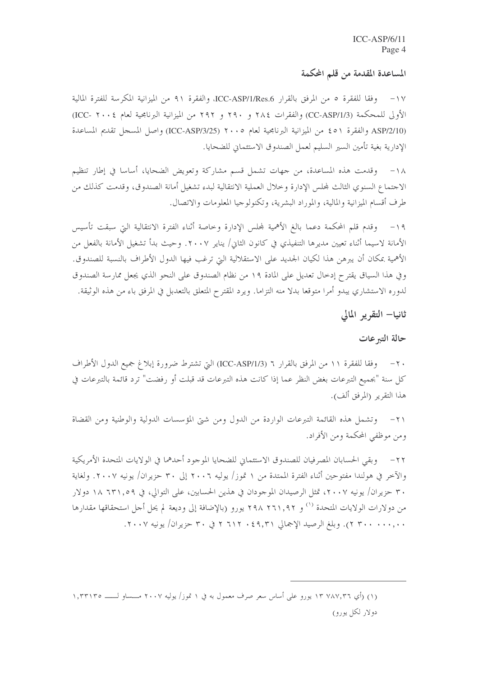#### المساعدة المقدمة من قلم المكمة

وفقا للفقرة ٥ من المرفق بالقرار ICC-ASP/1/Res.6، والفقرة ٩١ من الميزانية المكرسة للفترة المالية  $-1V$ الأولى للمحكمة (CC-ASP/1/3) والفقرات ٢٩٤ و ٢٩٠ و ٢٩٢ من الميزانية البرنامجية لعام ٢٠٠٤-ICC) (ASP/2/10 والفقرة ٥١ ، من الميزانية البرنامجية لعام ٢٠٠٥ (ICC-ASP/3/25) واصل المسجل تقديم المساعدة الإدارية بغية تأمين السير السليم لعمل الصندوق الاستئماني للضحايا.

١٨– وقدمت هذه المساعدة، من جهات تشمل قسم مشاركة وتعويض الضحايا، أساسا في إطار تنظيم الاجتماع السنوي الثالث لمحلس الإدارة وخلال العملية الانتقالية لبدء تشغيل أمانة الصندوق، وقدمت كذلك من طرف أقسام الميزانية والمالية، والموراد البشرية، وتكنولوجيا المعلومات والاتصال.

١٩- وقدم قلم المحكمة دعما بالغ الأهمية لمجلس الإدارة وخاصة أثناء الفترة الانتقالية التي سبقت تأسيس الأمانة لاسيما أثناء تعيين مديرها التنفيذي في كانون الثاني/ يناير ٢٠٠٧. وحيث بدأ تشغيل الأمانة بالفعل من الأهمية بمكان أن يبرهن هذا لكيان الجديد على الاستقلالية التي ترغب فيها الدول الأطراف بالنسبة للصندوق. وفي هذا السياق يقترح إدخال تعديل على المادة ١٩ من نظام الصندوق على النحو الذي يجعل ممارسة الصندوق لدوره الاستشاري يبدو أمرا متوقعا بدلا منه التزاما. ويرد المقترح المتعلق بالتعدبل في المرفق باء من هذه الوثيقة.

ثانيا– التقرير المالي

### حالة التبرعات

٢٠ – وفقا للفقرة ١١ من المرفق بالقرار ٦ (ICC-ASP/1/3) التي تشترط ضرورة إبلاغ جميع الدول الأطراف كلِّ سنة "بجميع التبرعات بغض النظر عما إذا كانت هذه التبرعات قد قبلت أو رفضت" ترد قائمة بالتبرعات في هذا التقرير (المرفق ألف).

وتشمل هذه القائمة التبرعات الواردة من الدول ومن شتى المؤسسات الدولية والوطنية ومن القضاة  $-\tau$ ومن موظفي المحكمة ومن الأفراد.

٢٢- وبقى الحسابان المصرفيان للصندوق الاستئماني للضحايا الموجود أحدهما في الولايات المتحدة الأمريكية والآخر في هولندا مفتوحين أثناء الفترة الممتدة من ١ تموز/ يوليه ٢٠٠٦ إلى ٣٠ حزيران/ يونيه ٢٠٠٧. ولغاية ٣٠ حزيران/ يونيه ٢٠٠٧، تمثل الرصيدان الموجودان في هذين الحسابين، على التوالي، في ٢٩,١٩٩ ١٨ دولار من دولارات الولايات المتحدة '' و ٢٩١,٩٢ يورو (بالإضافة إلى وديعة لم يحل أجل استحقاقها مقدارها . ٢٠٠٠ . ٢٠٠ ٢). وبلغ الرصيد الإجمالي ٢٩,٣١ . ٢١٢ ٢ في ٣٠ حزيران/ يونيه ٢٠٠٧.

<sup>(</sup>۱) (أي ١٣ ٧٨٧,٣٦ يورو على أساس سعر صرف معمول به في ١ تموز/ يوليه ٢٠٠٧ مـــساو لـــــــ ١,٣٣١٣٥ دولار لکل یورو)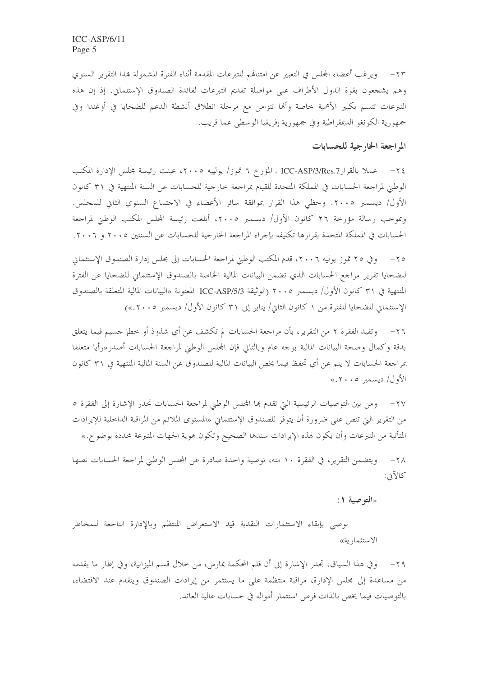٢٣ – ويرغب أعضاء المحلس في التعبير عن امتنافهم للتبرعات المقدمة أثناء الفترة المشمولة بمذا التقرير السنوي وهم يشجعون بقوة الدول الأطراف على مواصلة تقديم التبرعات لفائدة الصندوق الإستئماني. إذ إن هذه التبرعات تتسم بكبير الأهمية خاصة وأنها تتزامن مع مرحلة انطلاق أنشطة الدعم للضحايا في أوغندا وفي جمهورية الكونغو الديمقراطية وفي جمهورية إفريقيا الوسطى عما قريب.

#### المراجعة الخارجية للحسابات

٢٤ – عملا بالقرار ICC-ASP/3/Res.7 ، المؤرخ ٦ تموز/ يولييه ٢٠٠٥، عينت رئيسة مجلس الإدارة المكتب الوطني لمراجعة الحسابات في المملكة المتحدة للقيام بمراجعة حارجية للحسابات عن السنة المنتهية في ٣١ كانون الأول/ ديسمبر ٢٠٠٥. وحظى هذا القرار بموافقة سائر الأعضاء في الاحتماع السنوي الثاني للمحلس. وبموجب رسالة مؤرخة ٢٦ كانون الأول/ ديسمبر ٢٠٠٥، أبلغت رئيسة المجلس المكتب الوطني لمراجعة الحسابات في المملكة المتحدة بقرارها تكليفه بإجراء المراجعة الخارجية للحسابات عن السنتين ٢٠٠٥ و ٢٠٠٦.

وفي ٢٥ تموز يوليه ٢٠٠٦، قدم المكتب الوطني لمراجعة الحسابات إلى مجلس إدارة الصندوق الإستئماني للضحايا تقرير مراجع الحسابات الذي تضمن البيانات المالية الخاصة بالصندوق الإستئماني للضحايا عن الفترة المنتهية في ٣١ كانون الأول/ ديسمبر ٢٠٠٥ (الوثيقة ICC-ASP/5/3 المعنونة «البيانات المالية المتعلقة بالصندوق الإستئماني للضحايا للفترة من ١ كانون الثاني/ يناير إلى ٣١ كانون الأول/ ديسمبر ٢٠٠٥.»)

وتفيد الفقرة ٢ من التقرير، بأن مراجعة الحسابات لم تكشف عن أي شذوذ أو خطإ جسيم فيما يتعلق  $-77$ بدقة وكمال وصحة البيانات المالية بوجه عام وبالتالي فإن المحلس الوطني لمراجعة الحسابات أصدر«رأيا متعلقا بمراجعة الحسابات لا ينم عن أي تحفظ فيما يخص البيانات المالية للصندوق عن السنة المالية المنتهية في ٣١ كانون الأول/ ديسمبر ٢٠٠٥»

٢٧– ومن بين التوصيات الرئيسية التي تقدم بما المجلس الوطني لمراجعة الحسابات تجدر الإشارة إلى الفقرة ٥ من التقرير التي تنص على ضرورة أن يتوفر للصندوق الإستئماني «المستوى الملائم من المراقبة الداخلية للإيرادات المتأتية من التبرعات وأن يكون لهذه الإيرادات سندها الصحيح وتكون هوية الجهات المتبرعة محددة بوضوح.»

ويتضمن التقرير، في الفقرة ١٠ منه، توصية واحدة صادرة عن المحلس الوطني لمراجعة الحسابات نصها  $-\tau \wedge$ كالآتي:

«التوصية ١:

نوصى بإبقاء الاستثمارات النقدية قيد الاستعراض المنتظم وبالإدارة الناجعة للمخاطر الاستثمارية»

٢٩ – و في هذا السياق، تجدر الإشارة إلى أن قلم المحكمة يمارس، من حلال قسم الميزانية، وفي إطار ما يقدمه من مساعدة إلى مجلس الإدارة، مراقبة منتظمة على ما يستثمر من إيرادات الصندوق ويتقدم عند الاقتضاء، بالتوصيات فيما يخص بالذات فرص استثمار أمواله في حسابات عالية العائد.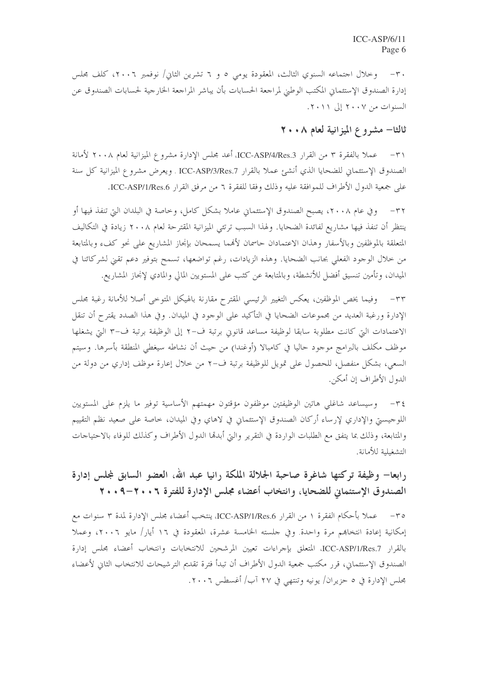٣٠- وخلال اجتماعه السنوي الثالث، المعقودة يومي ٥ و ٦ تشرين الثاني/ نوفمبر ٢٠٠٦، كلف مجلس إدارة الصندوق الإستثماني المكتب الوطني لمراجعة الحسابات بأن يباشر المراجعة الخارجية لحسابات الصندوق عن السنوات من ٢٠٠٧ إلى ٢٠١١.

## ثالثا– مشروع الميزانية لعام ٢٠٠٨

عملا بالفقرة ٣ من القرار ICC-ASP/4/Res.3، أعد مجلس الإدارة مشروع الميزانية لعام ٢٠٠٨ لأمانة  $-\tau$ الصندوق الإستئماني للضحايا الذي أنشئ عملا بالقرار ICC-ASP/3/Res.7 . ويعرض مشروع الميزانية كل سنة على جمعية الدول الأطراف للموافقة عليه وذلك وفقا للفقرة ٦ من مرفق القرار ICC-ASP/1/Res.6.

وفي عام ٢٠٠٨، يصبح الصندوق الإستئماني عاملاً بشكل كامل، وخاصة في البلدان التي تنفذ فيها أو  $-\tau\tau$ ينتظر أن تنفذ فيها مشاريع لفائدة الضحايا. ولهذا السبب ترتئي الميزانية المقترحة لعام ٢٠٠٨ زيادة في التكاليف المتعلقة بالموظفين وبالأسفار وهذان الاعتمادان حاسمان لأفمما يسمحان بإنجاز المشاريع على نحو كفء وبالمتابعة من خلال الوجود الفعلي بجانب الضحايا. وهذه الزيادات، رغم تواضعها، تسمح بتوفير دعم تقني لشركائنا في الميدان، وتأمين تنسيق أفضل للأنشطة، وبالمتابعة عن كثب على المستويين المالي والمادي لإنحاز المشاريع.

٣٣– وفيما يخص الموظفين، يعكس التغيير الرئيسي المقترح مقارنة بالهيكل المتوحى أصلا للأمانة رغبة مجلس الإدارة ورغبة العديد من مجموعات الضحايا في التأكيد على الوحود في الميدان. وفي هذا الصدد يقترح أن تنقل الاعتمادات التي كانت مطلوبة سابقا لوظيفة مساعد قانوين برتبة ف−٢ إلى الوظيفة برتبة ف−٣ التي يشغلها موظف مكلف بالبرامج موجود حاليا في كامبالا (أوغندا) من حيث أن نشاطه سيغطى المنطقة بأسرها. وسيتم السعي، بشكل منفصل، للحصول على تمويل للوظيفة برتبة ف-٢ من حلال إعارة موظف إداري من دولة من الدول الأطراف إن أمكن.

٣٤- وسيساعد شاغلي هاتين الوظيفتين موظفون مؤقتون مهمتهم الأساسية توفير ما يلزم على المستويين اللوجيستي والإداري لإرساء أركان الصندوق الإستئماني في لاهاي وفي الميدان، خاصة على صعيد نظم التقييم والمتابعة، وذلك بما يتفق مع الطلبات الواردة في التقرير والتي أبدهما الدول الأطراف وكذلك للوفاء بالاحتياحات التشغيلية للأمانة.

رابعا— وظيفة تركتها شاغرة صاحبة الجلالة الملكة رانيا عبد الله، العضو السابق لمجلس إدارة الصندوق الإستئماني للضحايا، وانتخاب أعضاء مجلس الإدارة للفترة ٢٠٠٦-٩٠٠٩

٣٥- عملا بأحكام الفقرة ١ من القرار ICC-ASP/1/Res.6، ينتخب أعضاء مجلس الإدارة لمدة ٣ سنوات مع إمكانية إعادة انتخابهم مرة واحدة. وفي حلسته الخامسة عشرة، المعقودة في ١٦ أيار/ مايو ٢٠٠٦، وعملا بالقرار ICC-ASP/1/Res.7، المتعلق بإجراءات تعيين المرشحين للانتخابات وانتخاب أعضاء مجلس إدارة الصندوق الإستئماني، قرر مكتب جمعية الدول الأطراف أن تبدأ فترة تقديم الترشيحات للانتخاب الثاني لأعضاء مجلس الإدارة في ٥ حزيران/ يونيه وتنتهي في ٢٧ آب/ أغسطس ٢٠٠٦.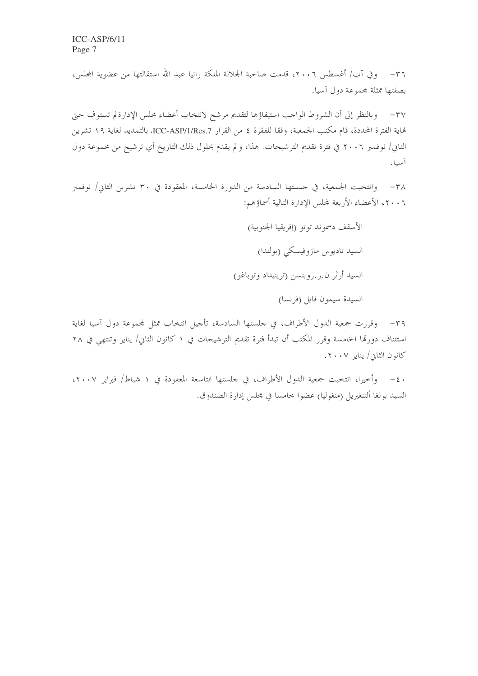٣٦- وفي آب/ أغسطس ٢٠٠٦، قدمت صاحبة الجلالة الملكة رانيا عبد الله استقالتها من عضوية المجلس، بصفتها ممثلة لمجموعة دول آسيا.

وبالنظر إلى أن الشروط الواجب استيفاؤها لتقديم مرشح لانتخاب أعضاء مجلس الإدارة لم تستوف حبيّ  $-\mathsf{r} \vee$ هَاية الفترة المحددة، قام مكتب الجمعية، وفقا للفقرة ٤ من القرار ICC-ASP/1/Res.7، بالتمديد لغاية ١٩ تشرين الثان/ نوفمبر ٢٠٠٦ في فترة تقديم الترشيحات. هذا، و لم يقدم بحلول ذلك التاريخ أي ترشيح من مجموعة دول آسيا.

وانتخبت الجمعية، في جلستها السادسة من الدورة الخامسة، المعقودة في ٣٠ تشرين الثاني/ نوفمبر  $-\tau \wedge$ ٢٠٠٦، الأعضاء الأربعة لمجلس الإدارة التالية أسماؤهم:

> الأسقف دسموند توتو (إفريقيا الجنوبية) السيد تاديوس مازوفيسكي (بولندا) السيد أرثر ن.ر.روبنسن (ترينيداد وتوباغو) السيدة سيمون فايل (فرنسا)

٣٩– وقررت جمعية الدول الأطراف، في حلستها السادسة، تأحيل انتخاب ممثل لمحموعة دول آسيا لغاية استئناف دورةا الخامسة وقرر المكتب أن تبدأ فترة تقديم الترشيحات في ١ كانون الثاني/ يناير وتنتهي في ٢٨ كانون الثاني/ يناير ٢٠٠٧.

٤٠ - وأخيرا، انتخبت جمعية الدول الأطراف، في حلستها التاسعة المعقودة في ١ شباط/ فبراير ٢٠٠٧، السيد بولغا ألتنغيريل (منغوليا) عضوا حامسا في مجلس إدارة الصندوق.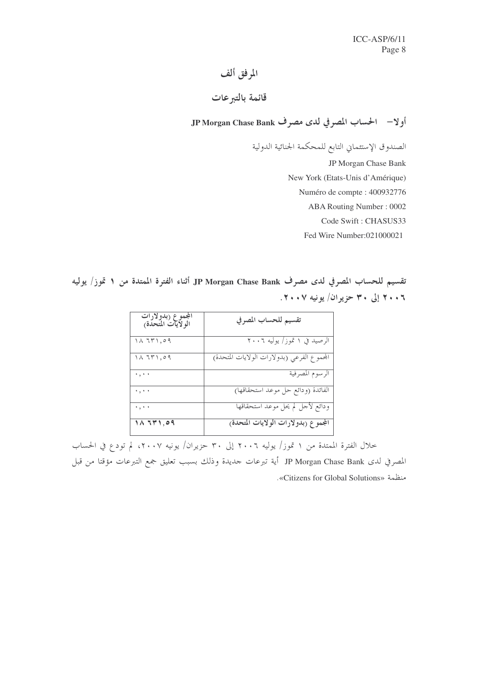# المرفق ألف

# قائمة بالتبرعات

أولا– الحساب المصرفي لدى مصرف JP Morgan Chase Bank

الصندوق الإستئماني التابع للمحكمة الجنائية الدولية

JP Morgan Chase Bank

New York (Etats-Unis d'Amérique)

Numéro de compte : 400932776

**ABA Routing Number: 0002** 

Code Swift: CHASUS33

Fed Wire Number:021000021

تقسيم للحساب المصرفي لدى مصرف JP Morgan Chase Bank أثناء الفترة الممتدة من ١ تموز/ يوليه ٢٠٠٦ إلى ٣٠ حزيران/ يونيه ٢٠٠٧.

| المجموع (بدولارات<br>الولايات المتحدة <sub>)</sub> | تقسيم للحساب المصرفي                               |
|----------------------------------------------------|----------------------------------------------------|
| $\lambda$ ٦٣١,٥٩                                   | الرصيد في ١ تموز/ يوليه ٢٠٠٦                       |
| ۱۸ ٦٣١,٥٩                                          | المحموع الفرعي (بدولارات الولايات المتحدة <u>)</u> |
| $\star$ , $\star$ $\star$                          | الرسوم المصرفية                                    |
| ۰,۰۰                                               | الفائدة (ودائع حل موعد استحقاقها)                  |
| $\cdot$ , $\cdot$ $\cdot$                          | ودائع لأحل لم يحل موعد استحقاقها                   |
| $\overline{1}\wedge 7\overline{r}$ 1,09            | المجموع (بدولارات الولايات المتحدة)                |

|<br>خلال الفترة الممتدة من ١ تموز/ يوليه ٢٠٠٦ إلى ٣٠ حزيران/ يونيه ٢٠٠٧، لم تودع في الحساب المصرفي لدى JP Morgan Chase Bank أية تبرعات جديدة وذلك بسبب تعليق جمع التبرعات مؤقتا من قبل منظمة «Citizens for Global Solutions».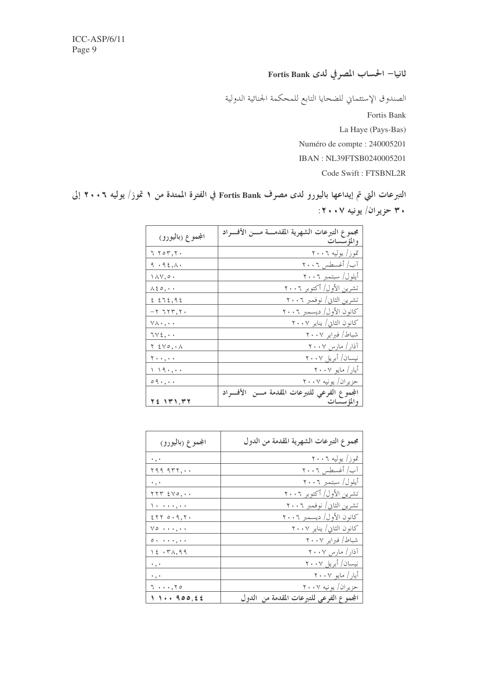ثانيا– الحساب المصرفي لدى Fortis Bank

الصندوق الإستئماني للضحايا التابع للمحكمة الجنائية الدولية Fortis Bank La Haye (Pays-Bas) Numéro de compte : 240005201 IBAN: NL39FTSB0240005201 Code Swift: FTSBNL2R

التبرعات التي تم إيداعها باليورو لدى مصرف Fortis Bank في الفترة الممتدة من ١ تموز/ يوليه ٢٠٠٦ إلى ٣٠ حزير آن/ يونيه ٢٠٠٧:

| المجموع (باليورو)                          | مجموع التبرعات الشهرية المقدمــة مـــن الأفـــراد<br>والمؤسسات |
|--------------------------------------------|----------------------------------------------------------------|
| ۲ ۲ ٥٣,٢٠                                  | تموز/ يوليه ٢٠٠٦                                               |
| 9.15, A.                                   | آب/ أغسطس ٢٠٠٦                                                 |
| $\wedge \wedge \vee, \circ \cdot$          | أيلول/ سبتمبر ٢٠٠٦                                             |
| $\wedge$ { $\circ$ , $\cdot$ $\cdot$       | تشرين الأول/ أكتوبر ٢٠٠٦                                       |
| 25.92                                      | تشرین الثانی/ نوفمبر ۲۰۰٦                                      |
| $-777777.$                                 | كانون الأول/ ديسمبر ٢٠٠٦                                       |
| $\forall \lambda \cdot, \cdot \cdot$       | كانون الثاني/ يناير ٢٠٠٧                                       |
| $TV\xi$ ,                                  | شباط/ فبراير ٢٠٠٧                                              |
| $Y \in Y \circ A \cdot A$                  | آذار / مارس ۲۰۰ <u>۷</u>                                       |
| $\mathbf{Y} \cdot \cdot, \cdot$            | نیسان/ أبريل ۲۰۰۷                                              |
| $\setminus \setminus \mathfrak{q}$ , , , , | أيار/ مايو ٢٠٠٧                                                |
| $\circ$ 9 $\cdot$ , $\cdot$ $\cdot$        | حزیران/ یونیه ۲۰۰۷                                             |
|                                            | المجموع الفرعي للتبرعات المقدمة مسن الأفسراد                   |
| <u>76 ۱۳۱,۳۲</u>                           | والمؤسسات                                                      |

| المجموع (باليورو)                                                                                                                                     | مجموع التبرعات الشهرية المقدمة من الدول  |
|-------------------------------------------------------------------------------------------------------------------------------------------------------|------------------------------------------|
| $\cdot$ , $\cdot$                                                                                                                                     | تموز/ يوليه ٢٠٠٦                         |
| 599.957                                                                                                                                               | آب/ أغسطس ٢٠٠٦                           |
| $\cdot$ , $\cdot$                                                                                                                                     | أيلول/ سبتمبر ٢٠٠٦                       |
| $\gamma \gamma \gamma$ $\epsilon \gamma \circ \ldots$                                                                                                 | تشرين الأول/ أكتوبر ٢٠٠٦                 |
| $\lambda$                                                                                                                                             | تشرين الثاني/ نوفمبر ٢٠٠٦                |
| 25700.9,7.                                                                                                                                            | كانون الأول/ ديسمبر ٢٠٠٦                 |
| $\vee \circ \cdots, \cdot \cdot$                                                                                                                      | كانون الثاني/ يناير ٢٠٠٧                 |
| $\circ \cdot \cdot \cdot \cdot, \cdot$                                                                                                                | شباط/ فبراير ٢٠٠٧                        |
| $\setminus$ $\stackrel{\frown}{\sim}$ $\cdot$ $\stackrel{\frown}{\sim}$ $\stackrel{\frown}{\sim}$ $\stackrel{\frown}{\sim}$ $\stackrel{\frown}{\sim}$ | آذار / مارس ۲۰۰۷                         |
| $\cdot$ , $\cdot$                                                                                                                                     | نیسان/ أبریل ۲۰۰۷                        |
| $\cdot$ , $\cdot$                                                                                                                                     | أيار / مايو ٢٠٠٧                         |
| $7 \cdot \cdot \cdot , 70$                                                                                                                            | حزیران/ یونیه ۲۰۰۷                       |
| 111.900.55                                                                                                                                            | المجموع الفرعي للتبرعات المقدمة من الدول |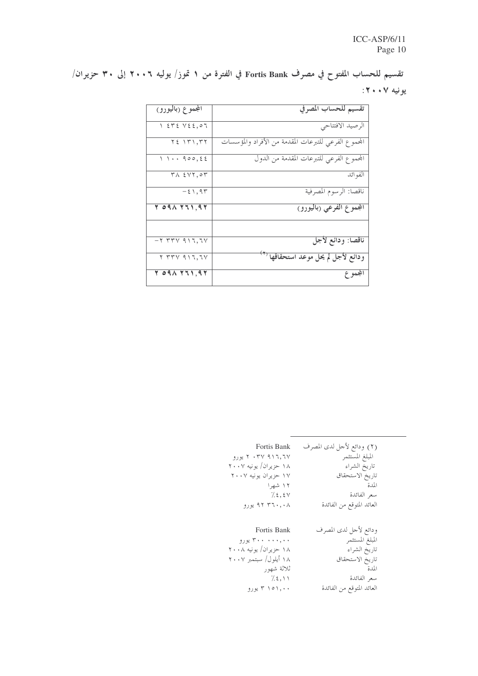تقسيم للحساب المفتوح في مصرف Fortis Bank في الفترة من ١ تموز/ يوليه ٢٠٠٦ إلى ٣٠ حزيران/ يونيه ۰۰۷:

| المجموع (باليورو)                            | تقسيم للحساب المصرفي                                 |
|----------------------------------------------|------------------------------------------------------|
| $\gamma$ at $\gamma$ is $\gamma$ is $\gamma$ | الرصيد الافتتاحي                                     |
| $Y \xi$ $\{Y\}, YY$                          | المحموع الفرعي للتبرعات المقدمة من الأفراد والمؤسسات |
| 11.490,55                                    | المحموع الفرعي للتبرعات المقدمة من الدول             |
| $TX$ $\{VT, \circ T$                         | الفوائد                                              |
| $-\epsilon$ \, 9 $\tau$                      | ناقصا: الرسوم المصرفية                               |
| 7.091771,97                                  | المجموع الفرعي (باليورو)                             |
|                                              |                                                      |
| $-7$ $77$ $7$ $9$ $1$ $7$ , $7$ $7$          | ناقصا: ودائع لأجل                                    |
| $Y$ $YY$ $Y$ $Y$ $Y$                         | ودائع لأجل لم يحل موعد استحقاقها <sup>7</sup>        |
| $Y$ oq $\Lambda$ $Y$ $I$ $\Lambda$ , q $Y$   | المجموع                                              |

| <b>Fortis Bank</b>    | (٢) ودائع لأحل لدى المصرف |
|-----------------------|---------------------------|
| ۲۰۳۷ ۹۱۶,۲۷ یورو      | المبلغ المستثمر           |
| ۱۸ حزیران/ یونیه ۲۰۰۷ | تاريخ الشراء              |
| ۱۷ حزیران یونیه ۲۰۰۷  | تاريخ الاستحقاق           |
| ۱۲ شهرا               | المدة                     |
| 7.5,5V                | سعر الفائدة               |
| ۹۲ ۳٦۰,۰۸ یورو        | العائد المتوقع من الفائدة |
| <b>Fortis Bank</b>    | ودائع لأحل لدى المصرف     |
| ۳۰۰ ۰۰۰,۰۰ يورو       | المبلغ المستثمر           |
| ۱۸ حزیران/ یونیه ۲۰۰۸ | تاريخ الشراء              |
| ۱۸ أيلول/ سبتمبر ۲۰۰۷ | تاريخ الاستحقاق           |
| ثلاثة شهور            | المدة                     |
| 7.5,11                | سعر الفائدة               |
| ۳۱۵۱,۰۰               | العائد المتوقع من الفائدة |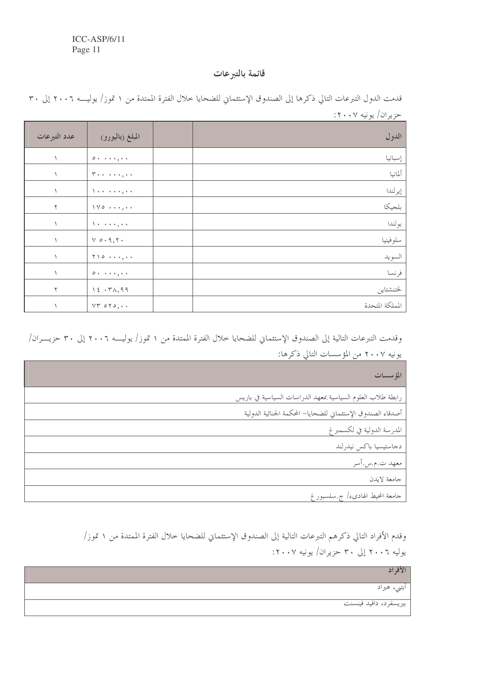### قائمة بالتبرعات

| - -             |                                                                |              |
|-----------------|----------------------------------------------------------------|--------------|
| الدول           | المبلغ (باليورو)                                               | عدد التبرعات |
| إسبانيا         | $0 \rightarrow \rightarrow + + , + +$                          |              |
| ألمانيا         | $\mathbf{Y} \leftrightarrow \cdots \leftrightarrow \mathbf{Y}$ |              |
| إيرلندا         | $\lambda + \cdots + \lambda + \mu + \nu$                       |              |
| بلجيكا          | $\gamma \gamma \circ \cdots, \cdots$                           | $\mathbf{r}$ |
| بولندا          | $\lambda$ + + + + , + +                                        |              |
| سلوفينيا        | $V \circ \cdot 9, 7.$                                          |              |
| السويد          | $\gamma \wedge \circ \cdots, \cdot \cdot$                      |              |
| فرنسا           | $0 \rightarrow \rightarrow + + , + +$                          |              |
| لختنشتاين       | $\lambda \xi \cdot \Upsilon \lambda, q q$                      | ٢            |
| المملكة المتحدة | $VT \circ Y \circ \ldots$                                      |              |

قدمت الدول التبرعات التالي ذكرها إلى الصندوق الإستئماني للضحايا خلال الفترة الممتدة من ١ تموز/ يوليـــه ٢٠٠٦ إلى ٣٠ حزيران/ يونيه ٢٠٠٧:

وقدمت التبرعات التالية إلى الصندوق الإستئماني للضحايا حلال الفترة الممتدة من ١ تموز/ يوليـــه ٢٠٠٦ إلى ٣٠ حزيـــران/ يونيه ٢٠٠٧ من المؤسسات التالي ذكرها:

| المؤسسات                                                    |
|-------------------------------------------------------------|
| رابطة طلاب العلوم السياسية بمعهد الدراسات السياسية في باريس |
| أصدقاء الصندوق الإستثماني للضحايا– المحكمة الحنائية الدولية |
| المدرسة الدولية في لكسمبر غ                                 |
| دحاستيسيا باكس نيدرلند                                      |
| معهد ت.م.س.أسر                                              |
| جامعة لايدن                                                 |
| جامعة المحيط الهاديء/ ج.سلسبورغ                             |

وقدم الأفراد التالي ذكرهم التبرعات التالية إلى الصندوق الإستئماني للضحايا حلال الفترة الممتدة من ١ تموز/ یولیه ۲۰۰٦ إلى ۳۰ حزیران/ یونیه ۲۰۰۷:

| ألافه                  |
|------------------------|
| ابتبي، هیراد           |
| بیریسفرد، دافید فینسنت |
|                        |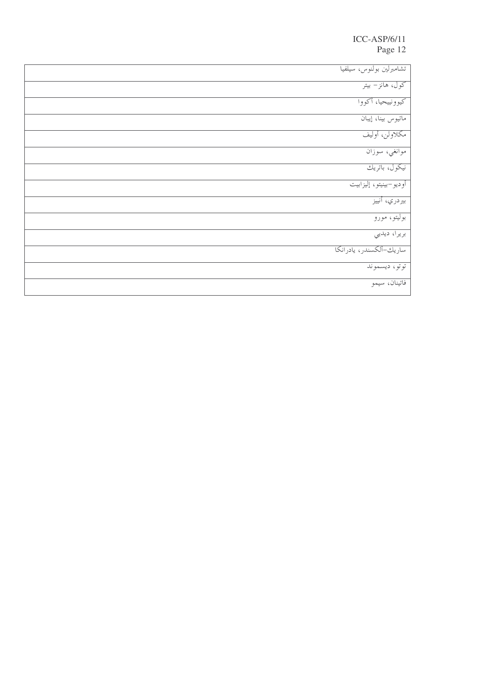| تشامبرلين بولنوس، سيلفيا |  |
|--------------------------|--|
| کول، هانز– بیتر          |  |
| كيوونييحيا، أكووا        |  |
| ماتيوس بينا، إيبان       |  |
| مكلاولن، أوليف           |  |
| موانغي، سوزان            |  |
| نیکول، باتریك            |  |
| أوديو–بينيتو، إليزابيت   |  |
| بيردري، أنييز            |  |
| بوليتو، مورو             |  |
| بريرا، ديديي             |  |
| ساريك-ألكسندر، يادرانكا  |  |
| توتو، ديسموند            |  |
| فاتينان، سيمو            |  |
|                          |  |